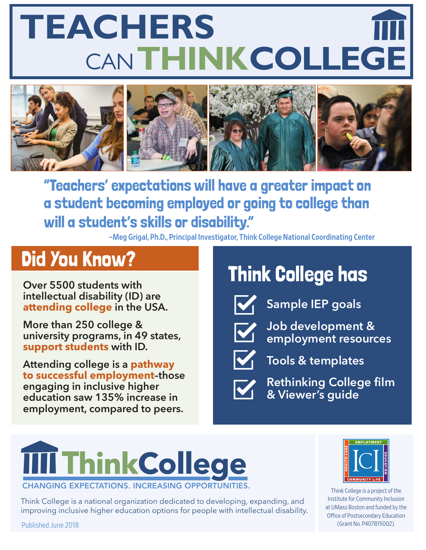# CAN**THINKCOLLEGE TEACHERS**



"Teachers' expectations will have a greater impact on a student becoming employed or going to college than will a student's skills or disability."

–Meg Grigal, Ph.D., Principal Investigator, Think College National Coordinating Center

### Did You Know?

**Over 5500 students with intellectual disability (ID) are attending college in the USA.**

**More than 250 college & university programs, in 49 states, support students with ID.**

**Attending college is a pathway to successful employment–those engaging in inclusive higher education saw 135% increase in employment, compared to peers.**

### Think College has



**Sample IEP goals**



**Job development & employment resources** 



**Tools & templates** 



**Rethinking College film & Viewer's guide**

### **THinkCollege CHANGING EXPECTATIONS. INCREASING**

Think College is a national organization dedicated to developing, expanding, and improving inclusive higher education options for people with intellectual disability.



Think College is a project of the Institute for Community Inclusion at UMass Boston and funded by the Office of Postsecondary Education (Grant No. P407B15002).

Published June 2018